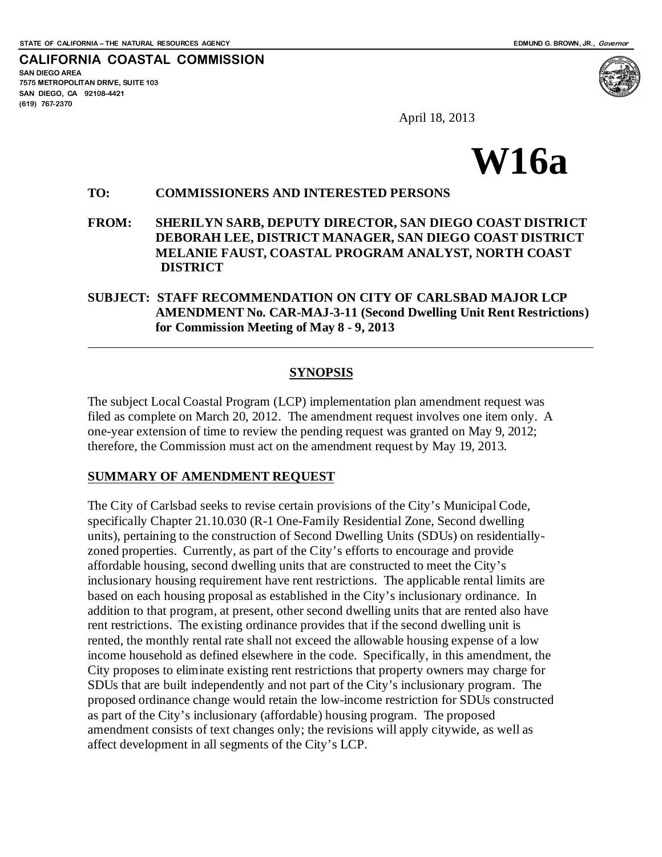**CALIFORNIA COASTAL COMMISSION SAN DIEGO AREA 7575 METROPOLITAN DRIVE, SUITE 103 SAN DIEGO, CA 92108-4421 (619) 767-2370**



April 18, 2013

# **W16a**

#### **TO: COMMISSIONERS AND INTERESTED PERSONS**

**FROM: SHERILYN SARB, DEPUTY DIRECTOR, SAN DIEGO COAST DISTRICT DEBORAH LEE, DISTRICT MANAGER, SAN DIEGO COAST DISTRICT MELANIE FAUST, COASTAL PROGRAM ANALYST, NORTH COAST DISTRICT**

#### **SUBJECT: STAFF RECOMMENDATION ON CITY OF CARLSBAD MAJOR LCP AMENDMENT No. CAR-MAJ-3-11 (Second Dwelling Unit Rent Restrictions) for Commission Meeting of May 8 - 9, 2013**

#### **SYNOPSIS**

The subject Local Coastal Program (LCP) implementation plan amendment request was filed as complete on March 20, 2012. The amendment request involves one item only. A one-year extension of time to review the pending request was granted on May 9, 2012; therefore, the Commission must act on the amendment request by May 19, 2013.

#### **SUMMARY OF AMENDMENT REQUEST**

The City of Carlsbad seeks to revise certain provisions of the City's Municipal Code, specifically Chapter 21.10.030 (R-1 One-Family Residential Zone, Second dwelling units), pertaining to the construction of Second Dwelling Units (SDUs) on residentiallyzoned properties. Currently, as part of the City's efforts to encourage and provide affordable housing, second dwelling units that are constructed to meet the City's inclusionary housing requirement have rent restrictions. The applicable rental limits are based on each housing proposal as established in the City's inclusionary ordinance. In addition to that program, at present, other second dwelling units that are rented also have rent restrictions. The existing ordinance provides that if the second dwelling unit is rented, the monthly rental rate shall not exceed the allowable housing expense of a low income household as defined elsewhere in the code. Specifically, in this amendment, the City proposes to eliminate existing rent restrictions that property owners may charge for SDUs that are built independently and not part of the City's inclusionary program. The proposed ordinance change would retain the low-income restriction for SDUs constructed as part of the City's inclusionary (affordable) housing program. The proposed amendment consists of text changes only; the revisions will apply citywide, as well as affect development in all segments of the City's LCP.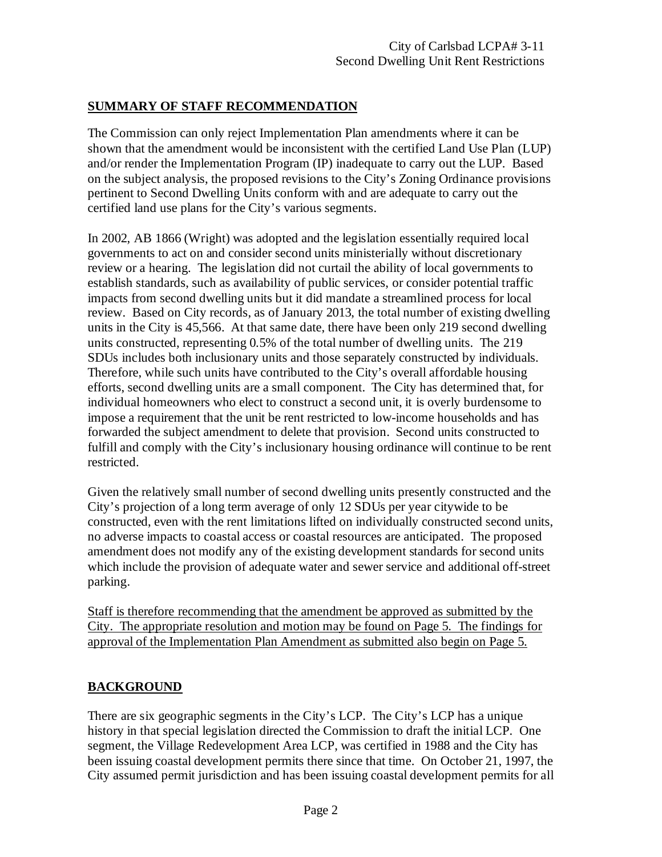## **SUMMARY OF STAFF RECOMMENDATION**

The Commission can only reject Implementation Plan amendments where it can be shown that the amendment would be inconsistent with the certified Land Use Plan (LUP) and/or render the Implementation Program (IP) inadequate to carry out the LUP. Based on the subject analysis, the proposed revisions to the City's Zoning Ordinance provisions pertinent to Second Dwelling Units conform with and are adequate to carry out the certified land use plans for the City's various segments.

In 2002, AB 1866 (Wright) was adopted and the legislation essentially required local governments to act on and consider second units ministerially without discretionary review or a hearing. The legislation did not curtail the ability of local governments to establish standards, such as availability of public services, or consider potential traffic impacts from second dwelling units but it did mandate a streamlined process for local review. Based on City records, as of January 2013, the total number of existing dwelling units in the City is 45,566. At that same date, there have been only 219 second dwelling units constructed, representing 0.5% of the total number of dwelling units. The 219 SDUs includes both inclusionary units and those separately constructed by individuals. Therefore, while such units have contributed to the City's overall affordable housing efforts, second dwelling units are a small component. The City has determined that, for individual homeowners who elect to construct a second unit, it is overly burdensome to impose a requirement that the unit be rent restricted to low-income households and has forwarded the subject amendment to delete that provision. Second units constructed to fulfill and comply with the City's inclusionary housing ordinance will continue to be rent restricted.

Given the relatively small number of second dwelling units presently constructed and the City's projection of a long term average of only 12 SDUs per year citywide to be constructed, even with the rent limitations lifted on individually constructed second units, no adverse impacts to coastal access or coastal resources are anticipated. The proposed amendment does not modify any of the existing development standards for second units which include the provision of adequate water and sewer service and additional off-street parking.

Staff is therefore recommending that the amendment be approved as submitted by the City. The appropriate resolution and motion may be found on Page 5. The findings for approval of the Implementation Plan Amendment as submitted also begin on Page 5.

## **BACKGROUND**

There are six geographic segments in the City's LCP. The City's LCP has a unique history in that special legislation directed the Commission to draft the initial LCP. One segment, the Village Redevelopment Area LCP, was certified in 1988 and the City has been issuing coastal development permits there since that time. On October 21, 1997, the City assumed permit jurisdiction and has been issuing coastal development permits for all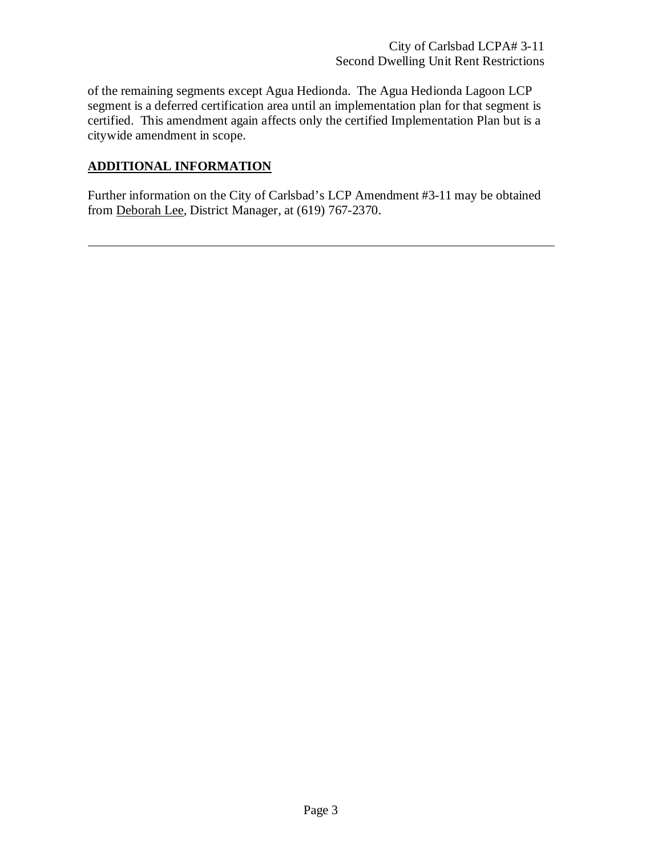of the remaining segments except Agua Hedionda. The Agua Hedionda Lagoon LCP segment is a deferred certification area until an implementation plan for that segment is certified. This amendment again affects only the certified Implementation Plan but is a citywide amendment in scope.

## **ADDITIONAL INFORMATION**

Further information on the City of Carlsbad's LCP Amendment #3-11 may be obtained from Deborah Lee, District Manager, at (619) 767-2370.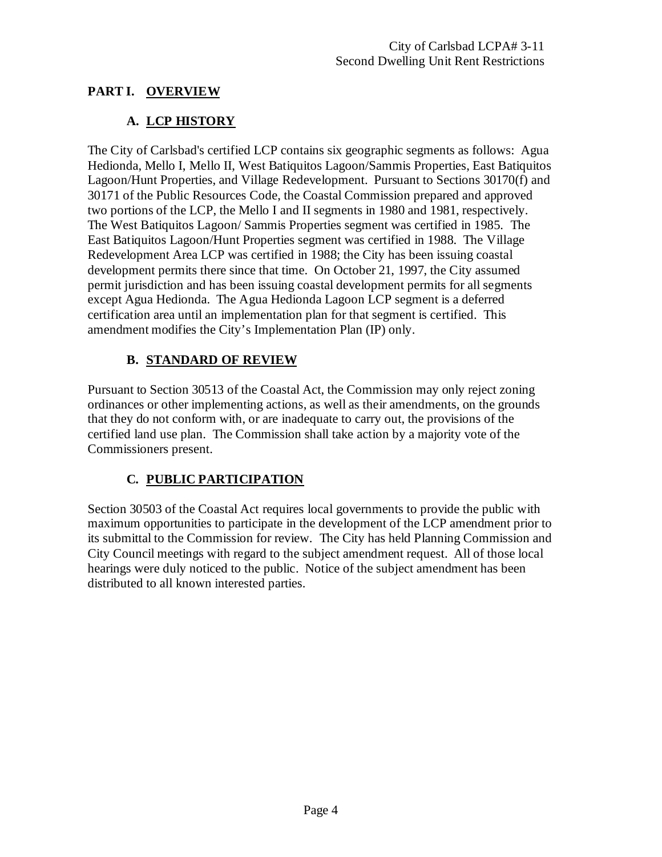# **PART I. OVERVIEW**

# **A. LCP HISTORY**

The City of Carlsbad's certified LCP contains six geographic segments as follows: Agua Hedionda, Mello I, Mello II, West Batiquitos Lagoon/Sammis Properties, East Batiquitos Lagoon/Hunt Properties, and Village Redevelopment. Pursuant to Sections 30170(f) and 30171 of the Public Resources Code, the Coastal Commission prepared and approved two portions of the LCP, the Mello I and II segments in 1980 and 1981, respectively. The West Batiquitos Lagoon/ Sammis Properties segment was certified in 1985. The East Batiquitos Lagoon/Hunt Properties segment was certified in 1988. The Village Redevelopment Area LCP was certified in 1988; the City has been issuing coastal development permits there since that time. On October 21, 1997, the City assumed permit jurisdiction and has been issuing coastal development permits for all segments except Agua Hedionda. The Agua Hedionda Lagoon LCP segment is a deferred certification area until an implementation plan for that segment is certified. This amendment modifies the City's Implementation Plan (IP) only.

# **B. STANDARD OF REVIEW**

Pursuant to Section 30513 of the Coastal Act, the Commission may only reject zoning ordinances or other implementing actions, as well as their amendments, on the grounds that they do not conform with, or are inadequate to carry out, the provisions of the certified land use plan. The Commission shall take action by a majority vote of the Commissioners present.

# **C. PUBLIC PARTICIPATION**

Section 30503 of the Coastal Act requires local governments to provide the public with maximum opportunities to participate in the development of the LCP amendment prior to its submittal to the Commission for review. The City has held Planning Commission and City Council meetings with regard to the subject amendment request. All of those local hearings were duly noticed to the public. Notice of the subject amendment has been distributed to all known interested parties.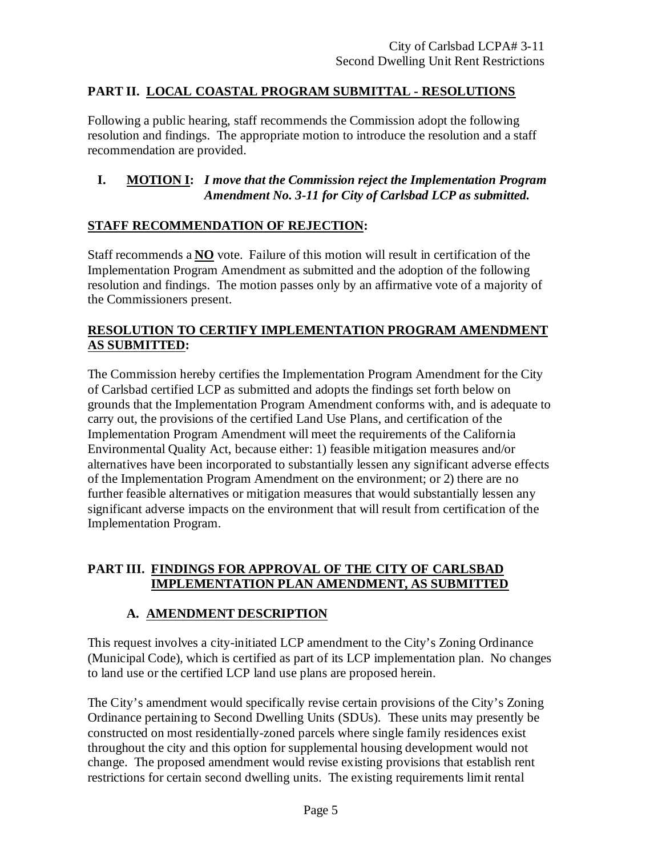## **PART II. LOCAL COASTAL PROGRAM SUBMITTAL - RESOLUTIONS**

Following a public hearing, staff recommends the Commission adopt the following resolution and findings. The appropriate motion to introduce the resolution and a staff recommendation are provided.

## **I. MOTION I:** *I move that the Commission reject the Implementation Program Amendment No. 3-11 for City of Carlsbad LCP as submitted.*

## **STAFF RECOMMENDATION OF REJECTION:**

Staff recommends a **NO** vote. Failure of this motion will result in certification of the Implementation Program Amendment as submitted and the adoption of the following resolution and findings. The motion passes only by an affirmative vote of a majority of the Commissioners present.

#### **RESOLUTION TO CERTIFY IMPLEMENTATION PROGRAM AMENDMENT AS SUBMITTED:**

The Commission hereby certifies the Implementation Program Amendment for the City of Carlsbad certified LCP as submitted and adopts the findings set forth below on grounds that the Implementation Program Amendment conforms with, and is adequate to carry out, the provisions of the certified Land Use Plans, and certification of the Implementation Program Amendment will meet the requirements of the California Environmental Quality Act, because either: 1) feasible mitigation measures and/or alternatives have been incorporated to substantially lessen any significant adverse effects of the Implementation Program Amendment on the environment; or 2) there are no further feasible alternatives or mitigation measures that would substantially lessen any significant adverse impacts on the environment that will result from certification of the Implementation Program.

#### **PART III. FINDINGS FOR APPROVAL OF THE CITY OF CARLSBAD IMPLEMENTATION PLAN AMENDMENT, AS SUBMITTED**

## **A. AMENDMENT DESCRIPTION**

This request involves a city-initiated LCP amendment to the City's Zoning Ordinance (Municipal Code), which is certified as part of its LCP implementation plan. No changes to land use or the certified LCP land use plans are proposed herein.

The City's amendment would specifically revise certain provisions of the City's Zoning Ordinance pertaining to Second Dwelling Units (SDUs). These units may presently be constructed on most residentially-zoned parcels where single family residences exist throughout the city and this option for supplemental housing development would not change. The proposed amendment would revise existing provisions that establish rent restrictions for certain second dwelling units. The existing requirements limit rental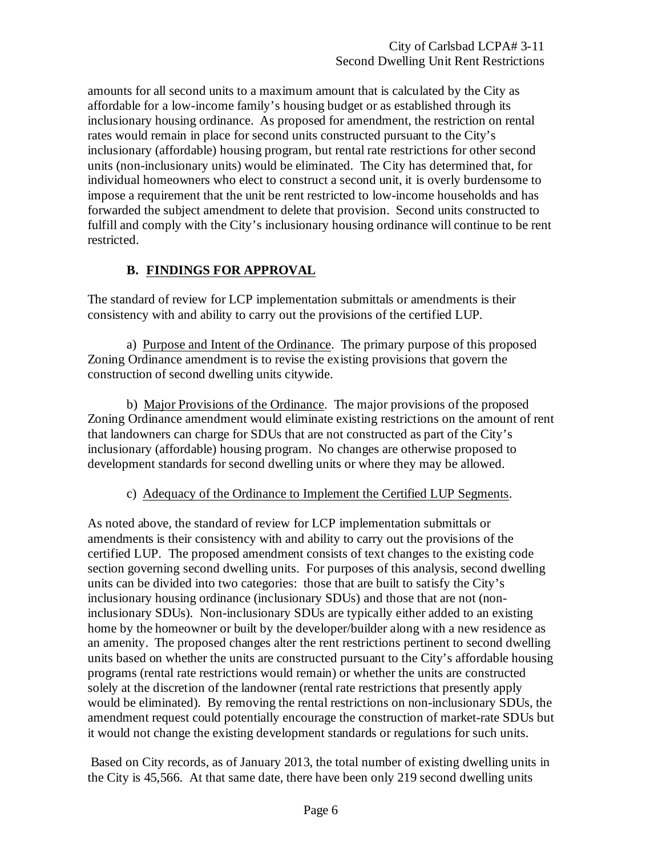amounts for all second units to a maximum amount that is calculated by the City as affordable for a low-income family's housing budget or as established through its inclusionary housing ordinance. As proposed for amendment, the restriction on rental rates would remain in place for second units constructed pursuant to the City's inclusionary (affordable) housing program, but rental rate restrictions for other second units (non-inclusionary units) would be eliminated. The City has determined that, for individual homeowners who elect to construct a second unit, it is overly burdensome to impose a requirement that the unit be rent restricted to low-income households and has forwarded the subject amendment to delete that provision. Second units constructed to fulfill and comply with the City's inclusionary housing ordinance will continue to be rent restricted.

## **B. FINDINGS FOR APPROVAL**

The standard of review for LCP implementation submittals or amendments is their consistency with and ability to carry out the provisions of the certified LUP.

a) Purpose and Intent of the Ordinance. The primary purpose of this proposed Zoning Ordinance amendment is to revise the existing provisions that govern the construction of second dwelling units citywide.

b) Major Provisions of the Ordinance. The major provisions of the proposed Zoning Ordinance amendment would eliminate existing restrictions on the amount of rent that landowners can charge for SDUs that are not constructed as part of the City's inclusionary (affordable) housing program. No changes are otherwise proposed to development standards for second dwelling units or where they may be allowed.

#### c) Adequacy of the Ordinance to Implement the Certified LUP Segments.

As noted above, the standard of review for LCP implementation submittals or amendments is their consistency with and ability to carry out the provisions of the certified LUP. The proposed amendment consists of text changes to the existing code section governing second dwelling units. For purposes of this analysis, second dwelling units can be divided into two categories: those that are built to satisfy the City's inclusionary housing ordinance (inclusionary SDUs) and those that are not (noninclusionary SDUs). Non-inclusionary SDUs are typically either added to an existing home by the homeowner or built by the developer/builder along with a new residence as an amenity. The proposed changes alter the rent restrictions pertinent to second dwelling units based on whether the units are constructed pursuant to the City's affordable housing programs (rental rate restrictions would remain) or whether the units are constructed solely at the discretion of the landowner (rental rate restrictions that presently apply would be eliminated). By removing the rental restrictions on non-inclusionary SDUs, the amendment request could potentially encourage the construction of market-rate SDUs but it would not change the existing development standards or regulations for such units.

Based on City records, as of January 2013, the total number of existing dwelling units in the City is 45,566. At that same date, there have been only 219 second dwelling units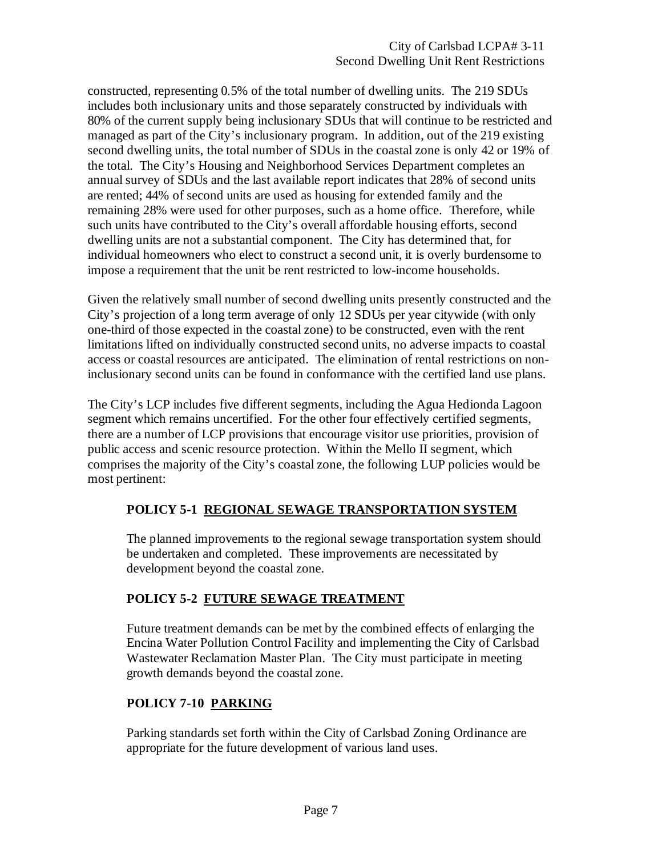constructed, representing 0.5% of the total number of dwelling units. The 219 SDUs includes both inclusionary units and those separately constructed by individuals with 80% of the current supply being inclusionary SDUs that will continue to be restricted and managed as part of the City's inclusionary program. In addition, out of the 219 existing second dwelling units, the total number of SDUs in the coastal zone is only 42 or 19% of the total. The City's Housing and Neighborhood Services Department completes an annual survey of SDUs and the last available report indicates that 28% of second units are rented; 44% of second units are used as housing for extended family and the remaining 28% were used for other purposes, such as a home office. Therefore, while such units have contributed to the City's overall affordable housing efforts, second dwelling units are not a substantial component. The City has determined that, for individual homeowners who elect to construct a second unit, it is overly burdensome to impose a requirement that the unit be rent restricted to low-income households.

Given the relatively small number of second dwelling units presently constructed and the City's projection of a long term average of only 12 SDUs per year citywide (with only one-third of those expected in the coastal zone) to be constructed, even with the rent limitations lifted on individually constructed second units, no adverse impacts to coastal access or coastal resources are anticipated. The elimination of rental restrictions on noninclusionary second units can be found in conformance with the certified land use plans.

The City's LCP includes five different segments, including the Agua Hedionda Lagoon segment which remains uncertified. For the other four effectively certified segments, there are a number of LCP provisions that encourage visitor use priorities, provision of public access and scenic resource protection. Within the Mello II segment, which comprises the majority of the City's coastal zone, the following LUP policies would be most pertinent:

#### **POLICY 5-1 REGIONAL SEWAGE TRANSPORTATION SYSTEM**

The planned improvements to the regional sewage transportation system should be undertaken and completed. These improvements are necessitated by development beyond the coastal zone.

## **POLICY 5-2 FUTURE SEWAGE TREATMENT**

Future treatment demands can be met by the combined effects of enlarging the Encina Water Pollution Control Facility and implementing the City of Carlsbad Wastewater Reclamation Master Plan. The City must participate in meeting growth demands beyond the coastal zone.

## **POLICY 7-10 PARKING**

Parking standards set forth within the City of Carlsbad Zoning Ordinance are appropriate for the future development of various land uses.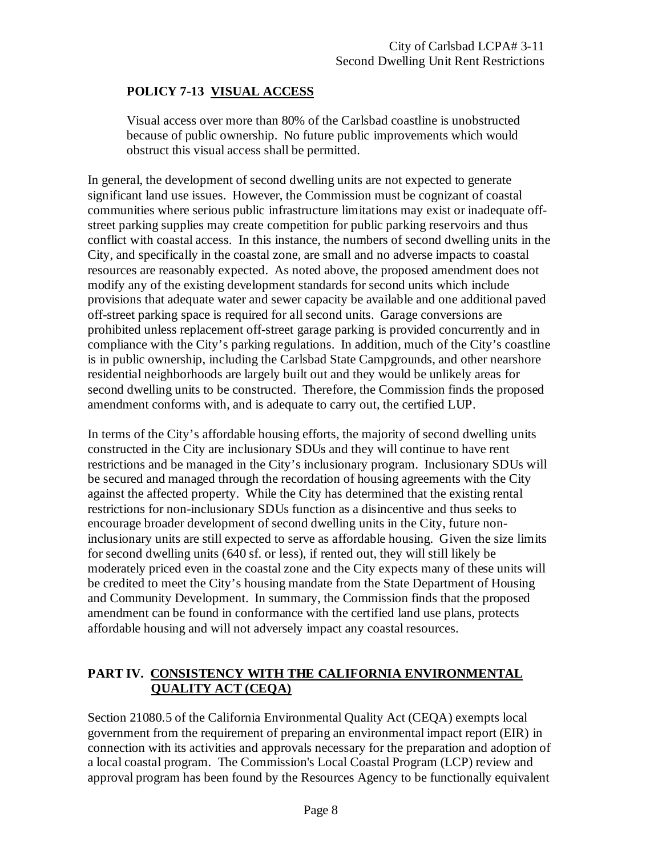# **POLICY 7-13 VISUAL ACCESS**

Visual access over more than 80% of the Carlsbad coastline is unobstructed because of public ownership. No future public improvements which would obstruct this visual access shall be permitted.

In general, the development of second dwelling units are not expected to generate significant land use issues. However, the Commission must be cognizant of coastal communities where serious public infrastructure limitations may exist or inadequate offstreet parking supplies may create competition for public parking reservoirs and thus conflict with coastal access. In this instance, the numbers of second dwelling units in the City, and specifically in the coastal zone, are small and no adverse impacts to coastal resources are reasonably expected. As noted above, the proposed amendment does not modify any of the existing development standards for second units which include provisions that adequate water and sewer capacity be available and one additional paved off-street parking space is required for all second units. Garage conversions are prohibited unless replacement off-street garage parking is provided concurrently and in compliance with the City's parking regulations. In addition, much of the City's coastline is in public ownership, including the Carlsbad State Campgrounds, and other nearshore residential neighborhoods are largely built out and they would be unlikely areas for second dwelling units to be constructed. Therefore, the Commission finds the proposed amendment conforms with, and is adequate to carry out, the certified LUP.

In terms of the City's affordable housing efforts, the majority of second dwelling units constructed in the City are inclusionary SDUs and they will continue to have rent restrictions and be managed in the City's inclusionary program. Inclusionary SDUs will be secured and managed through the recordation of housing agreements with the City against the affected property. While the City has determined that the existing rental restrictions for non-inclusionary SDUs function as a disincentive and thus seeks to encourage broader development of second dwelling units in the City, future noninclusionary units are still expected to serve as affordable housing. Given the size limits for second dwelling units (640 sf. or less), if rented out, they will still likely be moderately priced even in the coastal zone and the City expects many of these units will be credited to meet the City's housing mandate from the State Department of Housing and Community Development. In summary, the Commission finds that the proposed amendment can be found in conformance with the certified land use plans, protects affordable housing and will not adversely impact any coastal resources.

## **PART IV. CONSISTENCY WITH THE CALIFORNIA ENVIRONMENTAL QUALITY ACT (CEQA)**

Section 21080.5 of the California Environmental Quality Act (CEQA) exempts local government from the requirement of preparing an environmental impact report (EIR) in connection with its activities and approvals necessary for the preparation and adoption of a local coastal program. The Commission's Local Coastal Program (LCP) review and approval program has been found by the Resources Agency to be functionally equivalent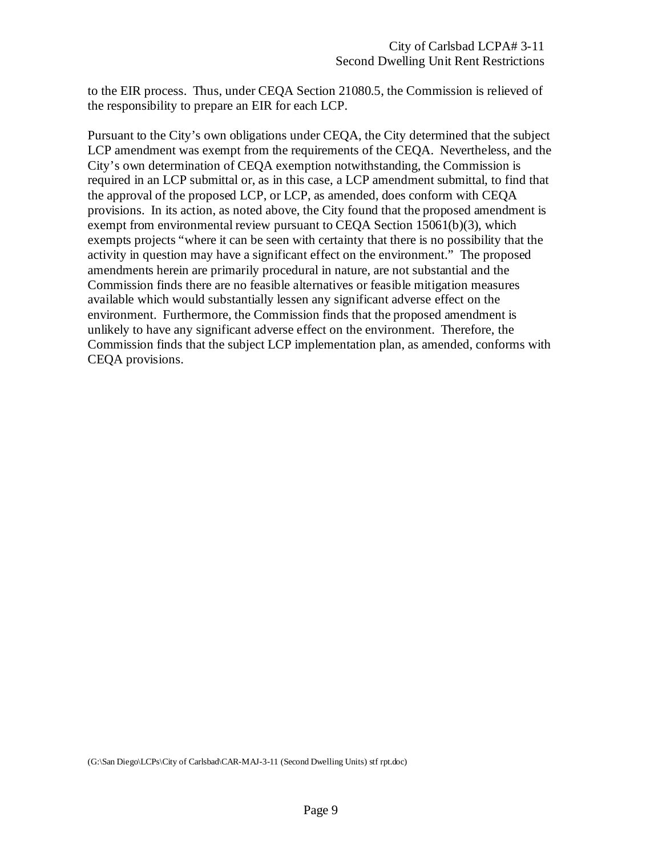to the EIR process. Thus, under CEQA Section 21080.5, the Commission is relieved of the responsibility to prepare an EIR for each LCP.

Pursuant to the City's own obligations under CEQA, the City determined that the subject LCP amendment was exempt from the requirements of the CEQA. Nevertheless, and the City's own determination of CEQA exemption notwithstanding, the Commission is required in an LCP submittal or, as in this case, a LCP amendment submittal, to find that the approval of the proposed LCP, or LCP, as amended, does conform with CEQA provisions. In its action, as noted above, the City found that the proposed amendment is exempt from environmental review pursuant to CEQA Section 15061(b)(3), which exempts projects "where it can be seen with certainty that there is no possibility that the activity in question may have a significant effect on the environment." The proposed amendments herein are primarily procedural in nature, are not substantial and the Commission finds there are no feasible alternatives or feasible mitigation measures available which would substantially lessen any significant adverse effect on the environment. Furthermore, the Commission finds that the proposed amendment is unlikely to have any significant adverse effect on the environment. Therefore, the Commission finds that the subject LCP implementation plan, as amended, conforms with CEQA provisions.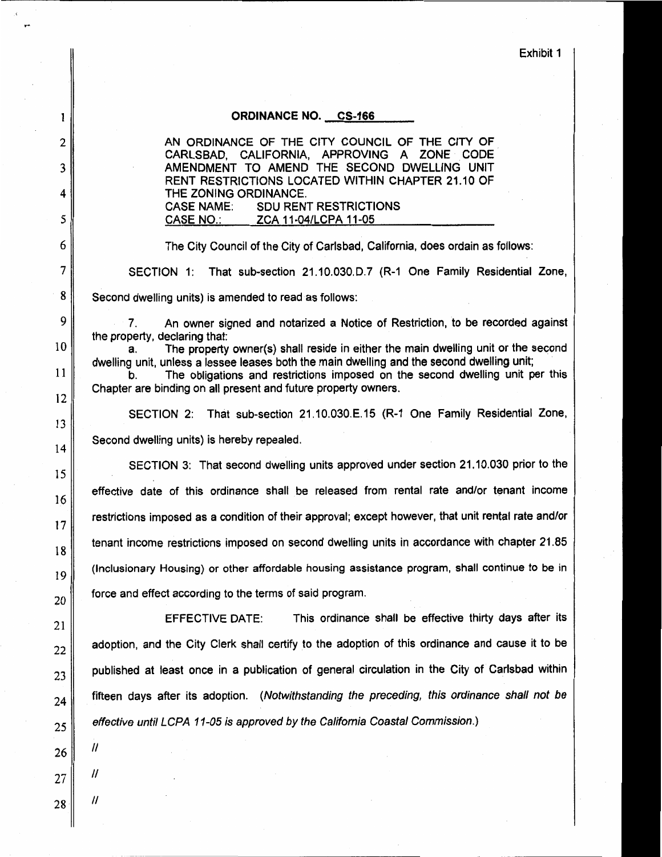Exhibit 1

#### **ORDINANCE NO. CS-166**

AN ORDINANCE OF THE CITY COUNCIL OF THE CITY OF CARLSBAD, CALIFORNIA, APPROVING A ZONE CODE AMENDMENT TO AMEND THE SECOND DWELLING UNIT RENT RESTRICTIONS LOCATED WITHIN CHAPTER 21.10 OF THE ZONING ORDINANCE. **CASE NAME: SDU RENT RESTRICTIONS CASE NO.:** ZCA 11-04/LCPA 11-05

The City Council of the City of Carlsbad, California, does ordain as follows:

SECTION 1: That sub-section 21.10.030.D.7 (R-1 One Family Residential Zone,

Second dwelling units) is amended to read as follows:

An owner signed and notarized a Notice of Restriction, to be recorded against  $7<sub>1</sub>$ the property, declaring that:

The property owner(s) shall reside in either the main dwelling unit or the second a. dwelling unit, unless a lessee leases both the main dwelling and the second dwelling unit;

The obligations and restrictions imposed on the second dwelling unit per this b. Chapter are binding on all present and future property owners.

SECTION 2: That sub-section 21.10.030.E.15 (R-1 One Family Residential Zone, Second dwelling units) is hereby repealed.

SECTION 3: That second dwelling units approved under section 21.10.030 prior to the effective date of this ordinance shall be released from rental rate and/or tenant income restrictions imposed as a condition of their approval; except however, that unit rental rate and/or tenant income restrictions imposed on second dwelling units in accordance with chapter 21.85 (Inclusionary Housing) or other affordable housing assistance program, shall continue to be in force and effect according to the terms of said program.

This ordinance shall be effective thirty days after its **EFFECTIVE DATE:** adoption, and the City Clerk shall certify to the adoption of this ordinance and cause it to be published at least once in a publication of general circulation in the City of Carlsbad within fifteen days after its adoption. (Notwithstanding the preceding, this ordinance shall not be effective until LCPA 11-05 is approved by the California Coastal Commission.)

11

 $^{\prime\prime}$ 

 $\prime$ 

1

 $\overline{2}$ 

3

4

5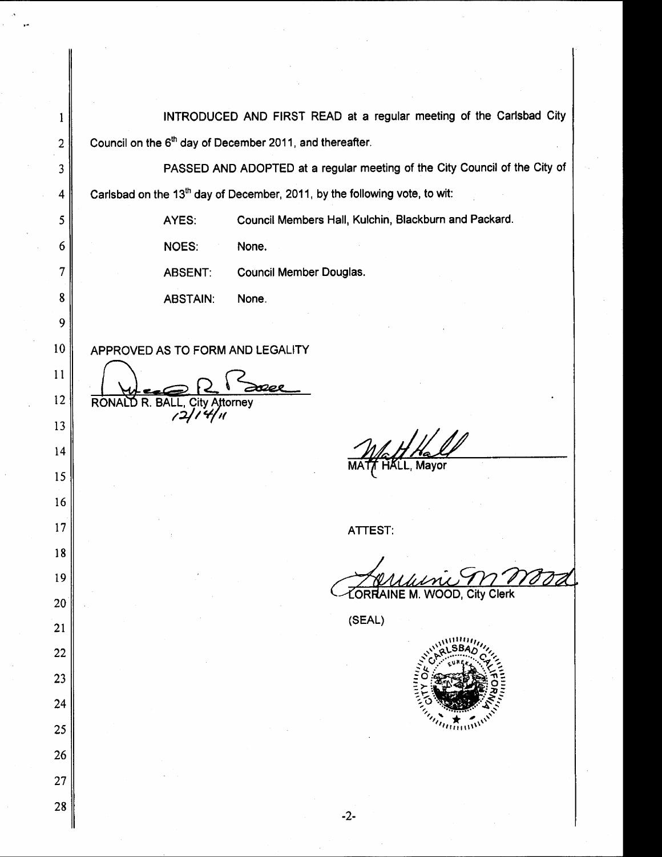| ł                       | INTRODUCED AND FIRST READ at a regular meeting of the Carlsbad City                    |
|-------------------------|----------------------------------------------------------------------------------------|
| $\overline{2}$          | Council on the 6 <sup>th</sup> day of December 2011, and thereafter.                   |
| 3                       | PASSED AND ADOPTED at a regular meeting of the City Council of the City of             |
| $\overline{\mathbf{4}}$ | Carlsbad on the 13 <sup>th</sup> day of December, 2011, by the following vote, to wit: |
| 5                       | Council Members Hall, Kulchin, Blackburn and Packard.<br>AYES:                         |
| 6                       | NOES:<br>None.                                                                         |
| 7                       | Council Member Douglas.<br><b>ABSENT:</b>                                              |
| 8                       | <b>ABSTAIN:</b><br>None.                                                               |
| 9                       |                                                                                        |
| 10                      | APPROVED AS TO FORM AND LEGALITY                                                       |
| 11                      |                                                                                        |
| 12                      | <b>RONA</b><br><b>BALL, City Attorney</b><br>R.<br>רו                                  |
| 13                      |                                                                                        |
| 14                      |                                                                                        |
| 15                      |                                                                                        |
| 16                      |                                                                                        |
| 17                      | ATTEST:                                                                                |
| $18\,$                  |                                                                                        |
| 19                      | ORRAINE M. WOOD, City Clerk                                                            |
| $20\,$<br>21            | (SEAL)                                                                                 |
| 22                      |                                                                                        |
| 23                      |                                                                                        |
| 24                      |                                                                                        |
| 25                      | $\overline{u}$                                                                         |
| 26                      |                                                                                        |
| 27                      |                                                                                        |
| 28                      |                                                                                        |
|                         | $-2-$                                                                                  |

 $\hat{\mathcal{A}}$ 

 $\hat{\mathcal{A}}$ 

 $\label{eq:2} \frac{1}{\sqrt{2}}\frac{1}{\sqrt{2}}\frac{1}{\sqrt{2}}\frac{1}{\sqrt{2}}\frac{1}{\sqrt{2}}\frac{1}{\sqrt{2}}\frac{1}{\sqrt{2}}\frac{1}{\sqrt{2}}\frac{1}{\sqrt{2}}\frac{1}{\sqrt{2}}\frac{1}{\sqrt{2}}\frac{1}{\sqrt{2}}\frac{1}{\sqrt{2}}\frac{1}{\sqrt{2}}\frac{1}{\sqrt{2}}\frac{1}{\sqrt{2}}\frac{1}{\sqrt{2}}\frac{1}{\sqrt{2}}\frac{1}{\sqrt{2}}\frac{1}{\sqrt{2}}\frac{1}{\sqrt{2}}\frac{$ 

 $\frac{1}{2}$ 

 $\ddot{\phantom{0}}$ 

 $\frac{1}{\sqrt{2}}$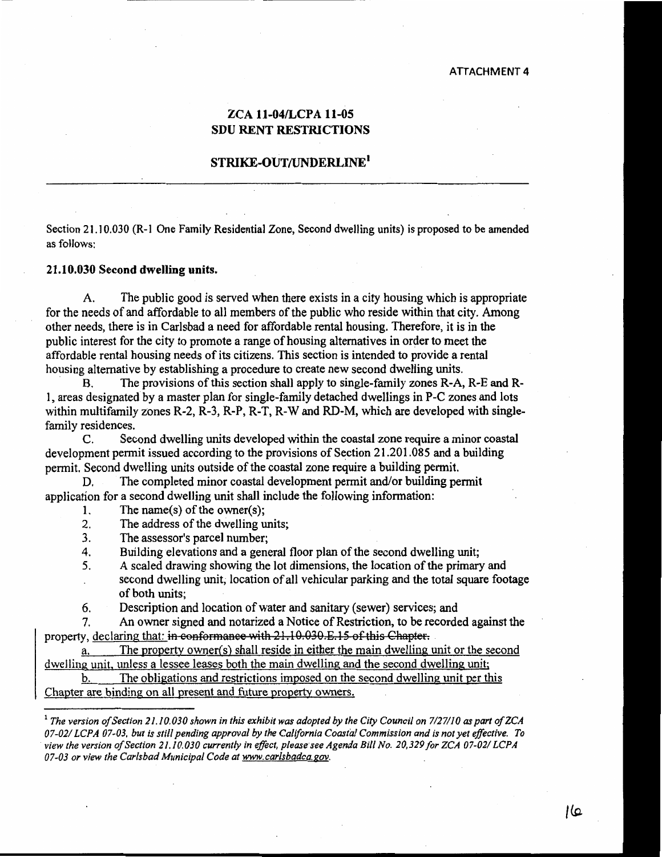#### ZCA 11-04/LCPA 11-05 **SDU RENT RESTRICTIONS**

#### STRIKE-OUT/UNDERLINE<sup>1</sup>

Section 21.10.030 (R-1 One Family Residential Zone, Second dwelling units) is proposed to be amended as follows:

#### 21.10.030 Second dwelling units.

The public good is served when there exists in a city housing which is appropriate  $A<sub>1</sub>$ for the needs of and affordable to all members of the public who reside within that city. Among other needs, there is in Carlsbad a need for affordable rental housing. Therefore, it is in the public interest for the city to promote a range of housing alternatives in order to meet the affordable rental housing needs of its citizens. This section is intended to provide a rental housing alternative by establishing a procedure to create new second dwelling units.

The provisions of this section shall apply to single-family zones R-A, R-E and R-**B.** 1, areas designated by a master plan for single-family detached dwellings in P-C zones and lots within multifamily zones R-2, R-3, R-P, R-T, R-W and RD-M, which are developed with singlefamily residences.

 $C_{\cdot}$ Second dwelling units developed within the coastal zone require a minor coastal development permit issued according to the provisions of Section 21.201.085 and a building permit. Second dwelling units outside of the coastal zone require a building permit.

The completed minor coastal development permit and/or building permit D. application for a second dwelling unit shall include the following information:

- The name(s) of the owner(s);  $1<sub>1</sub>$
- $2.$ The address of the dwelling units;
- $3<sub>1</sub>$ The assessor's parcel number:
- Building elevations and a general floor plan of the second dwelling unit: 4.
- $5<sub>1</sub>$ A scaled drawing showing the lot dimensions, the location of the primary and
	- second dwelling unit, location of all vehicular parking and the total square footage of both units:
- 6. Description and location of water and sanitary (sewer) services; and

 $7<sub>1</sub>$ An owner signed and notarized a Notice of Restriction, to be recorded against the property, declaring that: in conformance with 21, 10.030.E.15 of this Chapter.

The property owner(s) shall reside in either the main dwelling unit or the second a. dwelling unit, unless a lessee leases both the main dwelling and the second dwelling unit;

The obligations and restrictions imposed on the second dwelling unit per this b. Chapter are binding on all present and future property owners.

عاا

 $^1$  The version of Section 21.10.030 shown in this exhibit was adopted by the City Council on 7/27/10 as part of ZCA 07-02/ LCPA 07-03, but is still pending approval by the California Coastal Commission and is not yet effective. To view the version of Section 21.10.030 currently in effect, please see Agenda Bill No. 20,329 for ZCA 07-02/ LCPA 07-03 or view the Carlsbad Municipal Code at www.carlsbadca.gov.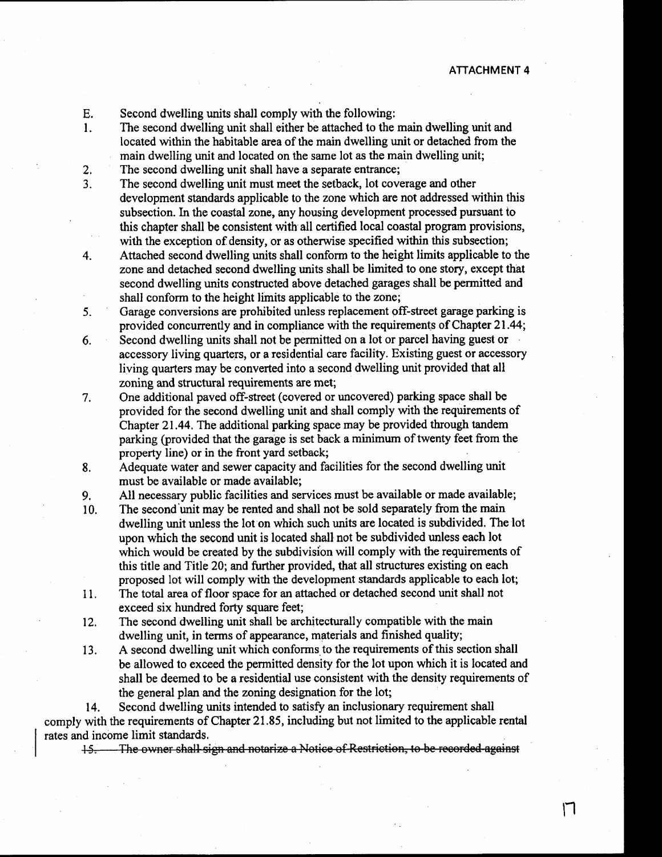$\mathsf{L}$ 

- Second dwelling units shall comply with the following: E.
- The second dwelling unit shall either be attached to the main dwelling unit and  $\mathbf{1}$ . located within the habitable area of the main dwelling unit or detached from the main dwelling unit and located on the same lot as the main dwelling unit;
- $2.$ The second dwelling unit shall have a separate entrance;
- The second dwelling unit must meet the setback, lot coverage and other  $3.$ development standards applicable to the zone which are not addressed within this subsection. In the coastal zone, any housing development processed pursuant to this chapter shall be consistent with all certified local coastal program provisions. with the exception of density, or as otherwise specified within this subsection:
- Attached second dwelling units shall conform to the height limits applicable to the  $4.$ zone and detached second dwelling units shall be limited to one story, except that second dwelling units constructed above detached garages shall be permitted and shall conform to the height limits applicable to the zone;
- Garage conversions are prohibited unless replacement off-street garage parking is  $5<sub>1</sub>$ provided concurrently and in compliance with the requirements of Chapter 21.44;
- Second dwelling units shall not be permitted on a lot or parcel having guest or 6. accessory living quarters, or a residential care facility. Existing guest or accessory living quarters may be converted into a second dwelling unit provided that all zoning and structural requirements are met:
- One additional paved off-street (covered or uncovered) parking space shall be 7. provided for the second dwelling unit and shall comply with the requirements of Chapter 21.44. The additional parking space may be provided through tandem parking (provided that the garage is set back a minimum of twenty feet from the property line) or in the front yard setback;
- Adequate water and sewer capacity and facilities for the second dwelling unit 8. must be available or made available;

All necessary public facilities and services must be available or made available; 9.

- The second unit may be rented and shall not be sold separately from the main 10. dwelling unit unless the lot on which such units are located is subdivided. The lot upon which the second unit is located shall not be subdivided unless each lot which would be created by the subdivision will comply with the requirements of this title and Title 20; and further provided, that all structures existing on each proposed lot will comply with the development standards applicable to each lot;
- The total area of floor space for an attached or detached second unit shall not 11. exceed six hundred forty square feet;
- 12. The second dwelling unit shall be architecturally compatible with the main dwelling unit, in terms of appearance, materials and finished quality;
- A second dwelling unit which conforms to the requirements of this section shall 13. be allowed to exceed the permitted density for the lot upon which it is located and shall be deemed to be a residential use consistent with the density requirements of the general plan and the zoning designation for the lot;

Second dwelling units intended to satisfy an inclusionary requirement shall 14. comply with the requirements of Chapter 21.85, including but not limited to the applicable rental rates and income limit standards.

15. The owner shall sign and notarize a Notice of Restriction, to be recorded against